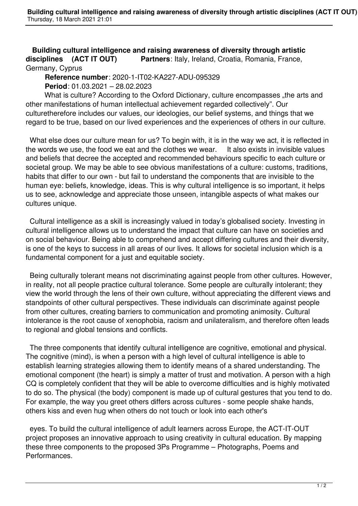**Building cultural intelligence and raising awareness of diversity through artistic disciplines (ACT IT OUT) Partners**: Italy, Ireland, Croatia, Romania, France, Germany, Cyprus

 **Reference number**: 2020-1-IT02-KA227-ADU-095329 **Period**: 01.03.2021 – 28.02.2023

What is culture? According to the Oxford Dictionary, culture encompasses "the arts and other manifestations of human intellectual achievement regarded collectively". Our culturetherefore includes our values, our ideologies, our belief systems, and things that we regard to be true, based on our lived experiences and the experiences of others in our culture.

 What else does our culture mean for us? To begin with, it is in the way we act, it is reflected in the words we use, the food we eat and the clothes we wear. It also exists in invisible values and beliefs that decree the accepted and recommended behaviours specific to each culture or societal group. We may be able to see obvious manifestations of a culture: customs, traditions, habits that differ to our own - but fail to understand the components that are invisible to the human eye: beliefs, knowledge, ideas. This is why cultural intelligence is so important, it helps us to see, acknowledge and appreciate those unseen, intangible aspects of what makes our cultures unique.

 Cultural intelligence as a skill is increasingly valued in today's globalised society. Investing in cultural intelligence allows us to understand the impact that culture can have on societies and on social behaviour. Being able to comprehend and accept differing cultures and their diversity, is one of the keys to success in all areas of our lives. It allows for societal inclusion which is a fundamental component for a just and equitable society.

 Being culturally tolerant means not discriminating against people from other cultures. However, in reality, not all people practice cultural tolerance. Some people are culturally intolerant; they view the world through the lens of their own culture, without appreciating the different views and standpoints of other cultural perspectives. These individuals can discriminate against people from other cultures, creating barriers to communication and promoting animosity. Cultural intolerance is the root cause of xenophobia, racism and unilateralism, and therefore often leads to regional and global tensions and conflicts.

 The three components that identify cultural intelligence are cognitive, emotional and physical. The cognitive (mind), is when a person with a high level of cultural intelligence is able to establish learning strategies allowing them to identify means of a shared understanding. The emotional component (the heart) is simply a matter of trust and motivation. A person with a high CQ is completely confident that they will be able to overcome difficulties and is highly motivated to do so. The physical (the body) component is made up of cultural gestures that you tend to do. For example, the way you greet others differs across cultures - some people shake hands, others kiss and even hug when others do not touch or look into each other's

 eyes. To build the cultural intelligence of adult learners across Europe, the ACT-IT-OUT project proposes an innovative approach to using creativity in cultural education. By mapping these three components to the proposed 3Ps Programme – Photographs, Poems and Performances.